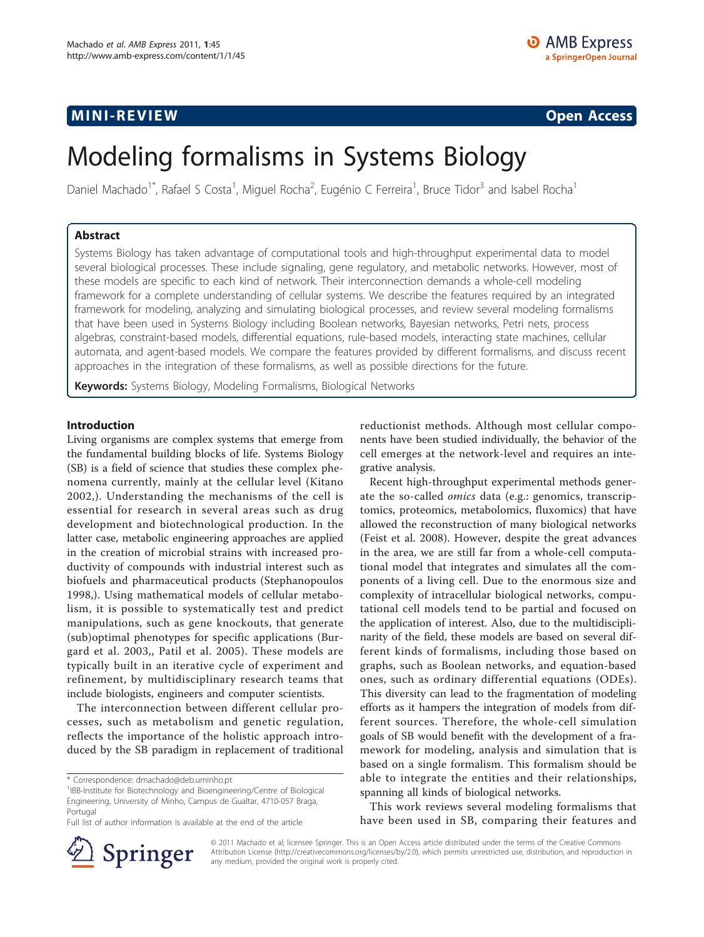# **MINI-REVIEW CONSTRUCTION CONSTRUCTION CONSTRUCTS**

# Modeling formalisms in Systems Biology

Daniel Machado<sup>1\*</sup>, Rafael S Costa<sup>1</sup>, Miguel Rocha<sup>2</sup>, Eugénio C Ferreira<sup>1</sup>, Bruce Tidor<sup>3</sup> and Isabel Rocha<sup>1</sup>

## Abstract

Systems Biology has taken advantage of computational tools and high-throughput experimental data to model several biological processes. These include signaling, gene regulatory, and metabolic networks. However, most of these models are specific to each kind of network. Their interconnection demands a whole-cell modeling framework for a complete understanding of cellular systems. We describe the features required by an integrated framework for modeling, analyzing and simulating biological processes, and review several modeling formalisms that have been used in Systems Biology including Boolean networks, Bayesian networks, Petri nets, process algebras, constraint-based models, differential equations, rule-based models, interacting state machines, cellular automata, and agent-based models. We compare the features provided by different formalisms, and discuss recent approaches in the integration of these formalisms, as well as possible directions for the future.

Keywords: Systems Biology, Modeling Formalisms, Biological Networks

## Introduction

Living organisms are complex systems that emerge from the fundamental building blocks of life. Systems Biology (SB) is a field of science that studies these complex phenomena currently, mainly at the cellular level ([Kitano](#page-11-0) [2002,](#page-11-0)). Understanding the mechanisms of the cell is essential for research in several areas such as drug development and biotechnological production. In the latter case, metabolic engineering approaches are applied in the creation of microbial strains with increased productivity of compounds with industrial interest such as biofuels and pharmaceutical products ([Stephanopoulos](#page-13-0) [1998,](#page-13-0)). Using mathematical models of cellular metabolism, it is possible to systematically test and predict manipulations, such as gene knockouts, that generate (sub)optimal phenotypes for specific applications ([Bur](#page-10-0)[gard et al. 2003,](#page-10-0), [Patil et al. 2005\)](#page-12-0). These models are typically built in an iterative cycle of experiment and refinement, by multidisciplinary research teams that include biologists, engineers and computer scientists.

The interconnection between different cellular processes, such as metabolism and genetic regulation, reflects the importance of the holistic approach introduced by the SB paradigm in replacement of traditional reductionist methods. Although most cellular components have been studied individually, the behavior of the cell emerges at the network-level and requires an integrative analysis.

Recent high-throughput experimental methods generate the so-called *omics* data (e.g.: genomics, transcriptomics, proteomics, metabolomics, fluxomics) that have allowed the reconstruction of many biological networks ([Feist et al. 2008](#page-11-0)). However, despite the great advances in the area, we are still far from a whole-cell computational model that integrates and simulates all the components of a living cell. Due to the enormous size and complexity of intracellular biological networks, computational cell models tend to be partial and focused on the application of interest. Also, due to the multidisciplinarity of the field, these models are based on several different kinds of formalisms, including those based on graphs, such as Boolean networks, and equation-based ones, such as ordinary differential equations (ODEs). This diversity can lead to the fragmentation of modeling efforts as it hampers the integration of models from different sources. Therefore, the whole-cell simulation goals of SB would benefit with the development of a framework for modeling, analysis and simulation that is based on a single formalism. This formalism should be able to integrate the entities and their relationships, spanning all kinds of biological networks.

This work reviews several modeling formalisms that have been used in SB, comparing their features and



© 2011 Machado et al; licensee Springer. This is an Open Access article distributed under the terms of the Creative Commons Attribution License [\(http://creativecommons.org/licenses/by/2.0](http://creativecommons.org/licenses/by/2.0)), which permits unrestricted use, distribution, and reproduction in any medium, provided the original work is properly cited.

<sup>\*</sup> Correspondence: [dmachado@deb.uminho.pt](mailto:dmachado@deb.uminho.pt)

<sup>&</sup>lt;sup>1</sup>IBB-Institute for Biotechnology and Bioengineering/Centre of Biological Engineering, University of Minho, Campus de Gualtar, 4710-057 Braga, Portugal

Full list of author information is available at the end of the article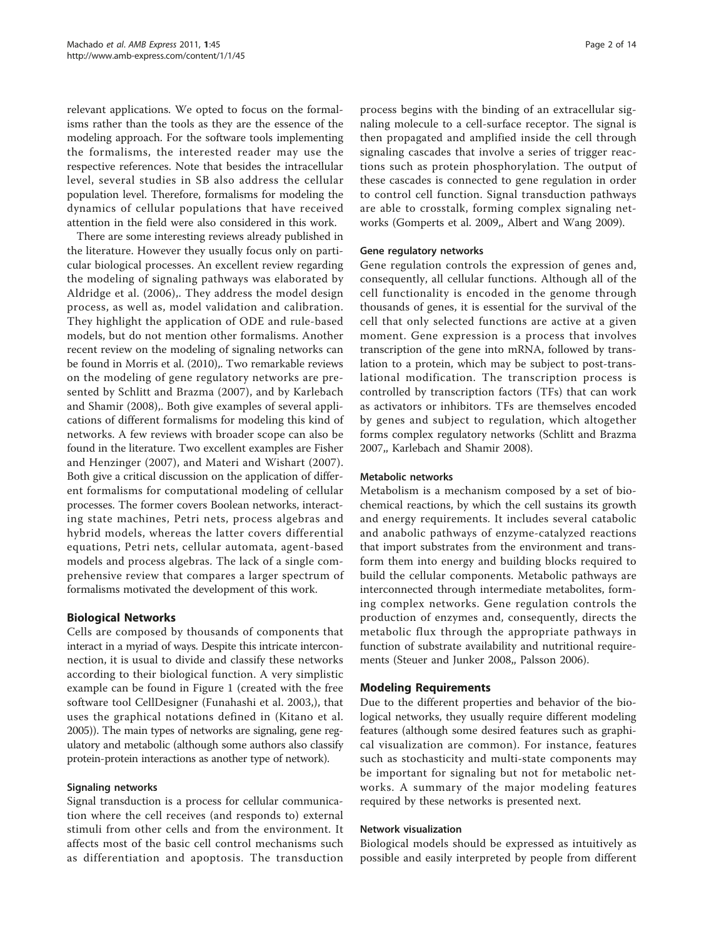relevant applications. We opted to focus on the formalisms rather than the tools as they are the essence of the modeling approach. For the software tools implementing the formalisms, the interested reader may use the respective references. Note that besides the intracellular level, several studies in SB also address the cellular population level. Therefore, formalisms for modeling the dynamics of cellular populations that have received attention in the field were also considered in this work.

There are some interesting reviews already published in the literature. However they usually focus only on particular biological processes. An excellent review regarding the modeling of signaling pathways was elaborated by [Aldridge et al. \(2006\),](#page-10-0). They address the model design process, as well as, model validation and calibration. They highlight the application of ODE and rule-based models, but do not mention other formalisms. Another recent review on the modeling of signaling networks can be found in [Morris et al. \(2010\)](#page-12-0),. Two remarkable reviews on the modeling of gene regulatory networks are presented by [Schlitt and Brazma \(2007\)](#page-12-0), and by [Karlebach](#page-11-0) [and Shamir \(2008\),](#page-11-0). Both give examples of several applications of different formalisms for modeling this kind of networks. A few reviews with broader scope can also be found in the literature. Two excellent examples are [Fisher](#page-11-0) [and Henzinger \(2007\),](#page-11-0) and [Materi and Wishart \(2007\)](#page-12-0). Both give a critical discussion on the application of different formalisms for computational modeling of cellular processes. The former covers Boolean networks, interacting state machines, Petri nets, process algebras and hybrid models, whereas the latter covers differential equations, Petri nets, cellular automata, agent-based models and process algebras. The lack of a single comprehensive review that compares a larger spectrum of formalisms motivated the development of this work.

## Biological Networks

Cells are composed by thousands of components that interact in a myriad of ways. Despite this intricate interconnection, it is usual to divide and classify these networks according to their biological function. A very simplistic example can be found in Figure [1](#page-2-0) (created with the free software tool CellDesigner [\(Funahashi et al. 2003](#page-11-0),), that uses the graphical notations defined in ([Kitano et al.](#page-11-0) [2005\)](#page-11-0)). The main types of networks are signaling, gene regulatory and metabolic (although some authors also classify protein-protein interactions as another type of network).

## Signaling networks

Signal transduction is a process for cellular communication where the cell receives (and responds to) external stimuli from other cells and from the environment. It affects most of the basic cell control mechanisms such as differentiation and apoptosis. The transduction

process begins with the binding of an extracellular signaling molecule to a cell-surface receptor. The signal is then propagated and amplified inside the cell through signaling cascades that involve a series of trigger reactions such as protein phosphorylation. The output of these cascades is connected to gene regulation in order to control cell function. Signal transduction pathways are able to crosstalk, forming complex signaling networks [\(Gomperts et al. 2009,](#page-11-0), [Albert and Wang 2009\)](#page-10-0).

## Gene regulatory networks

Gene regulation controls the expression of genes and, consequently, all cellular functions. Although all of the cell functionality is encoded in the genome through thousands of genes, it is essential for the survival of the cell that only selected functions are active at a given moment. Gene expression is a process that involves transcription of the gene into mRNA, followed by translation to a protein, which may be subject to post-translational modification. The transcription process is controlled by transcription factors (TFs) that can work as activators or inhibitors. TFs are themselves encoded by genes and subject to regulation, which altogether forms complex regulatory networks [\(Schlitt and Brazma](#page-12-0) [2007](#page-12-0),, [Karlebach and Shamir 2008\)](#page-11-0).

### Metabolic networks

Metabolism is a mechanism composed by a set of biochemical reactions, by which the cell sustains its growth and energy requirements. It includes several catabolic and anabolic pathways of enzyme-catalyzed reactions that import substrates from the environment and transform them into energy and building blocks required to build the cellular components. Metabolic pathways are interconnected through intermediate metabolites, forming complex networks. Gene regulation controls the production of enzymes and, consequently, directs the metabolic flux through the appropriate pathways in function of substrate availability and nutritional requirements ([Steuer and Junker 2008,](#page-13-0), [Palsson 2006](#page-12-0)).

### Modeling Requirements

Due to the different properties and behavior of the biological networks, they usually require different modeling features (although some desired features such as graphical visualization are common). For instance, features such as stochasticity and multi-state components may be important for signaling but not for metabolic networks. A summary of the major modeling features required by these networks is presented next.

### Network visualization

Biological models should be expressed as intuitively as possible and easily interpreted by people from different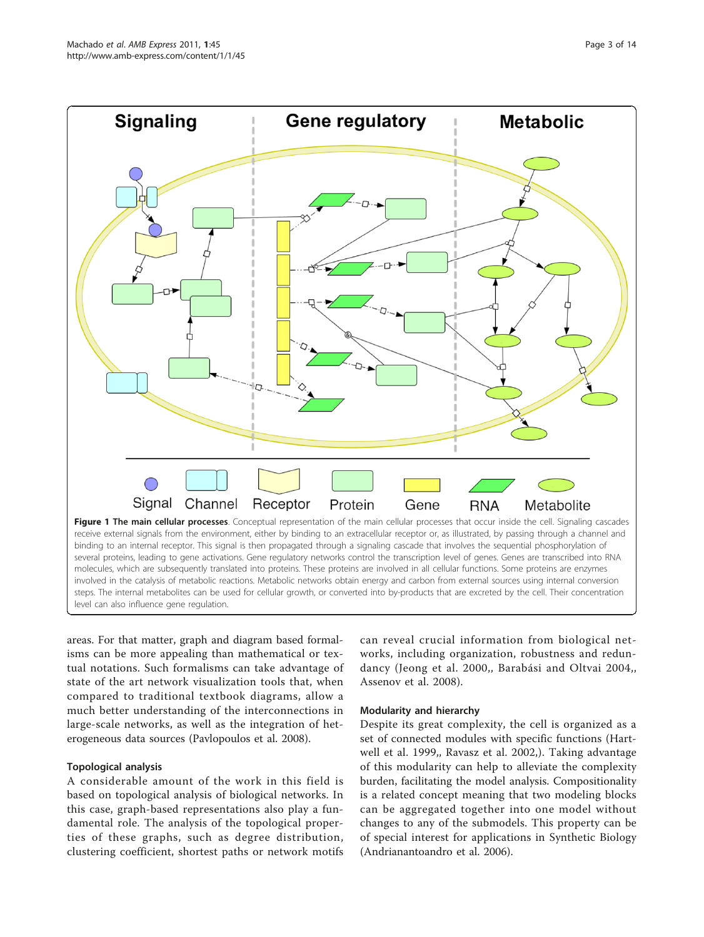<span id="page-2-0"></span>



areas. For that matter, graph and diagram based formalisms can be more appealing than mathematical or textual notations. Such formalisms can take advantage of state of the art network visualization tools that, when compared to traditional textbook diagrams, allow a much better understanding of the interconnections in large-scale networks, as well as the integration of heterogeneous data sources [\(Pavlopoulos et al. 2008\)](#page-12-0).

## Topological analysis

A considerable amount of the work in this field is based on topological analysis of biological networks. In this case, graph-based representations also play a fundamental role. The analysis of the topological properties of these graphs, such as degree distribution, clustering coefficient, shortest paths or network motifs can reveal crucial information from biological networks, including organization, robustness and redundancy ([Jeong et al. 2000,](#page-11-0), [Barabási and Oltvai 2004,](#page-10-0), [Assenov et al. 2008](#page-10-0)).

## Modularity and hierarchy

Despite its great complexity, the cell is organized as a set of connected modules with specific functions ([Hart](#page-11-0)[well et al. 1999](#page-11-0),, [Ravasz et al. 2002](#page-12-0),). Taking advantage of this modularity can help to alleviate the complexity burden, facilitating the model analysis. Compositionality is a related concept meaning that two modeling blocks can be aggregated together into one model without changes to any of the submodels. This property can be of special interest for applications in Synthetic Biology ([Andrianantoandro et al. 2006\)](#page-10-0).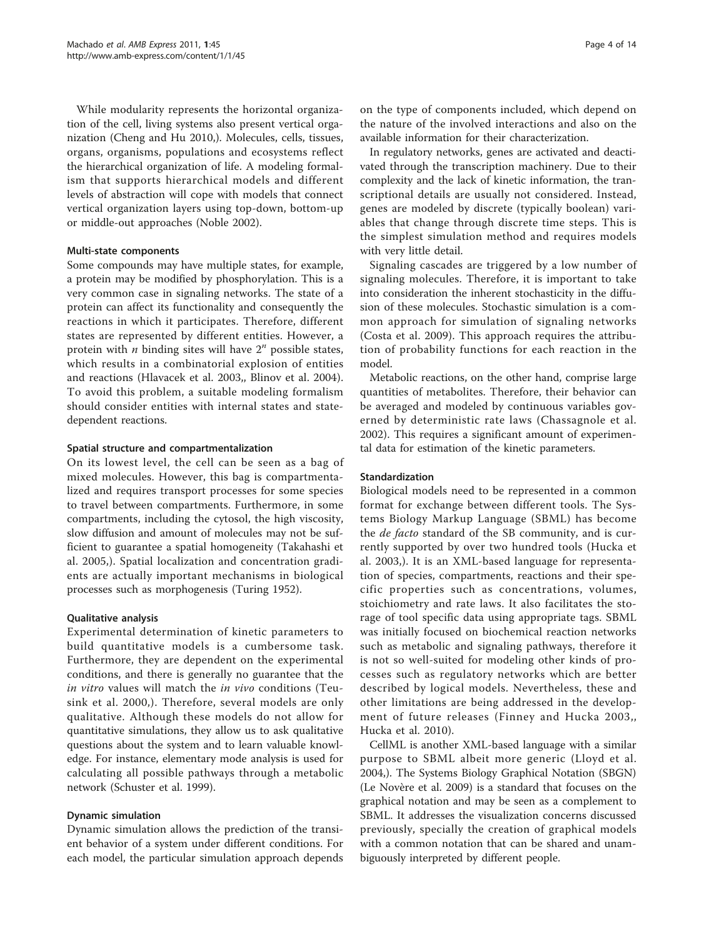While modularity represents the horizontal organization of the cell, living systems also present vertical organization [\(Cheng and Hu 2010](#page-10-0),). Molecules, cells, tissues, organs, organisms, populations and ecosystems reflect the hierarchical organization of life. A modeling formalism that supports hierarchical models and different levels of abstraction will cope with models that connect vertical organization layers using top-down, bottom-up or middle-out approaches [\(Noble 2002](#page-12-0)).

### Multi-state components

Some compounds may have multiple states, for example, a protein may be modified by phosphorylation. This is a very common case in signaling networks. The state of a protein can affect its functionality and consequently the reactions in which it participates. Therefore, different states are represented by different entities. However, a protein with *n* binding sites will have  $2^n$  possible states, which results in a combinatorial explosion of entities and reactions [\(Hlavacek et al. 2003,](#page-11-0), [Blinov et al. 2004](#page-10-0)). To avoid this problem, a suitable modeling formalism should consider entities with internal states and statedependent reactions.

## Spatial structure and compartmentalization

On its lowest level, the cell can be seen as a bag of mixed molecules. However, this bag is compartmentalized and requires transport processes for some species to travel between compartments. Furthermore, in some compartments, including the cytosol, the high viscosity, slow diffusion and amount of molecules may not be sufficient to guarantee a spatial homogeneity ([Takahashi et](#page-13-0) [al. 2005,](#page-13-0)). Spatial localization and concentration gradients are actually important mechanisms in biological processes such as morphogenesis [\(Turing 1952](#page-13-0)).

### Qualitative analysis

Experimental determination of kinetic parameters to build quantitative models is a cumbersome task. Furthermore, they are dependent on the experimental conditions, and there is generally no guarantee that the in vitro values will match the in vivo conditions [\(Teu](#page-13-0)[sink et al. 2000,](#page-13-0)). Therefore, several models are only qualitative. Although these models do not allow for quantitative simulations, they allow us to ask qualitative questions about the system and to learn valuable knowledge. For instance, elementary mode analysis is used for calculating all possible pathways through a metabolic network [\(Schuster et al. 1999](#page-12-0)).

## Dynamic simulation

Dynamic simulation allows the prediction of the transient behavior of a system under different conditions. For each model, the particular simulation approach depends on the type of components included, which depend on the nature of the involved interactions and also on the available information for their characterization.

In regulatory networks, genes are activated and deactivated through the transcription machinery. Due to their complexity and the lack of kinetic information, the transcriptional details are usually not considered. Instead, genes are modeled by discrete (typically boolean) variables that change through discrete time steps. This is the simplest simulation method and requires models with very little detail.

Signaling cascades are triggered by a low number of signaling molecules. Therefore, it is important to take into consideration the inherent stochasticity in the diffusion of these molecules. Stochastic simulation is a common approach for simulation of signaling networks ([Costa et al. 2009](#page-10-0)). This approach requires the attribution of probability functions for each reaction in the model.

Metabolic reactions, on the other hand, comprise large quantities of metabolites. Therefore, their behavior can be averaged and modeled by continuous variables governed by deterministic rate laws ([Chassagnole et al.](#page-10-0) [2002\)](#page-10-0). This requires a significant amount of experimental data for estimation of the kinetic parameters.

### Standardization

Biological models need to be represented in a common format for exchange between different tools. The Systems Biology Markup Language (SBML) has become the de facto standard of the SB community, and is currently supported by over two hundred tools ([Hucka et](#page-11-0) [al. 2003,](#page-11-0)). It is an XML-based language for representation of species, compartments, reactions and their specific properties such as concentrations, volumes, stoichiometry and rate laws. It also facilitates the storage of tool specific data using appropriate tags. SBML was initially focused on biochemical reaction networks such as metabolic and signaling pathways, therefore it is not so well-suited for modeling other kinds of processes such as regulatory networks which are better described by logical models. Nevertheless, these and other limitations are being addressed in the development of future releases ([Finney and Hucka 2003,](#page-11-0), [Hucka et al. 2010\)](#page-11-0).

CellML is another XML-based language with a similar purpose to SBML albeit more generic ([Lloyd et al.](#page-12-0) [2004](#page-12-0),). The Systems Biology Graphical Notation (SBGN) ([Le Novère et al. 2009\)](#page-12-0) is a standard that focuses on the graphical notation and may be seen as a complement to SBML. It addresses the visualization concerns discussed previously, specially the creation of graphical models with a common notation that can be shared and unambiguously interpreted by different people.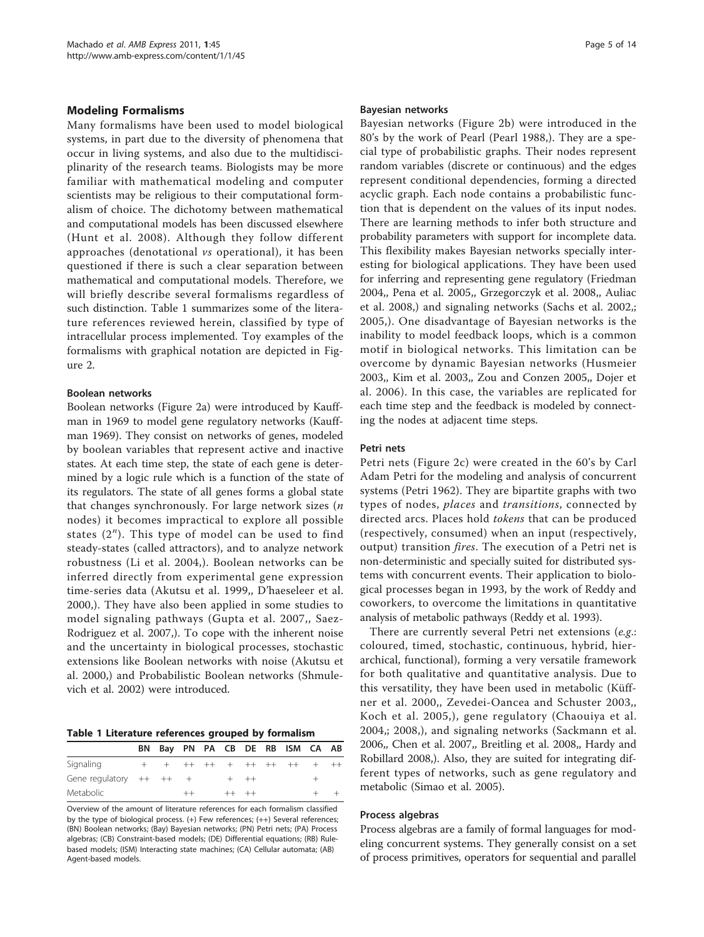#### <span id="page-4-0"></span>Modeling Formalisms

Many formalisms have been used to model biological systems, in part due to the diversity of phenomena that occur in living systems, and also due to the multidisciplinarity of the research teams. Biologists may be more familiar with mathematical modeling and computer scientists may be religious to their computational formalism of choice. The dichotomy between mathematical and computational models has been discussed elsewhere ([Hunt et al. 2008](#page-11-0)). Although they follow different approaches (denotational vs operational), it has been questioned if there is such a clear separation between mathematical and computational models. Therefore, we will briefly describe several formalisms regardless of such distinction. Table 1 summarizes some of the literature references reviewed herein, classified by type of intracellular process implemented. Toy examples of the formalisms with graphical notation are depicted in Figure [2](#page-5-0).

#### Boolean networks

Boolean networks (Figure [2a](#page-5-0)) were introduced by Kauffman in 1969 to model gene regulatory networks ([Kauff](#page-11-0)[man 1969\)](#page-11-0). They consist on networks of genes, modeled by boolean variables that represent active and inactive states. At each time step, the state of each gene is determined by a logic rule which is a function of the state of its regulators. The state of all genes forms a global state that changes synchronously. For large network sizes  $(n)$ nodes) it becomes impractical to explore all possible states  $(2^n)$ . This type of model can be used to find steady-states (called attractors), and to analyze network robustness ([Li et al. 2004,](#page-12-0)). Boolean networks can be inferred directly from experimental gene expression time-series data ([Akutsu et al. 1999,](#page-10-0), D'[haeseleer et al.](#page-10-0) [2000,](#page-10-0)). They have also been applied in some studies to model signaling pathways ([Gupta et al. 2007](#page-11-0),, [Saez-](#page-12-0)[Rodriguez et al. 2007,](#page-12-0)). To cope with the inherent noise and the uncertainty in biological processes, stochastic extensions like Boolean networks with noise ([Akutsu et](#page-10-0) [al. 2000,](#page-10-0)) and Probabilistic Boolean networks [\(Shmule](#page-13-0)[vich et al. 2002](#page-13-0)) were introduced.

Table 1 Literature references grouped by formalism

|                               |  |         |             |           |  | BN Bay PN PA CB DE RB ISM CA AB |  |
|-------------------------------|--|---------|-------------|-----------|--|---------------------------------|--|
| Signaling                     |  |         |             |           |  | + + ++ ++ + ++ ++ ++ + ++       |  |
| Gene regulatory $++$ $++$ $+$ |  |         | $+$ $+$ $+$ |           |  |                                 |  |
| Metabolic                     |  | $^{++}$ |             | $++$ $++$ |  |                                 |  |

Overview of the amount of literature references for each formalism classified by the type of biological process. (+) Few references; (++) Several references; (BN) Boolean networks; (Bay) Bayesian networks; (PN) Petri nets; (PA) Process algebras; (CB) Constraint-based models; (DE) Differential equations; (RB) Rulebased models; (ISM) Interacting state machines; (CA) Cellular automata; (AB) Agent-based models.

#### Bayesian networks

Bayesian networks (Figure [2b](#page-5-0)) were introduced in the 80's by the work of Pearl [\(Pearl 1988,](#page-12-0)). They are a special type of probabilistic graphs. Their nodes represent random variables (discrete or continuous) and the edges represent conditional dependencies, forming a directed acyclic graph. Each node contains a probabilistic function that is dependent on the values of its input nodes. There are learning methods to infer both structure and probability parameters with support for incomplete data. This flexibility makes Bayesian networks specially interesting for biological applications. They have been used for inferring and representing gene regulatory ([Friedman](#page-11-0) [2004](#page-11-0),, [Pena et al. 2005,](#page-12-0), [Grzegorczyk et al. 2008,](#page-11-0), [Auliac](#page-10-0) [et al. 2008](#page-10-0),) and signaling networks ([Sachs et al. 2002](#page-12-0),; [2005](#page-12-0),). One disadvantage of Bayesian networks is the inability to model feedback loops, which is a common motif in biological networks. This limitation can be overcome by dynamic Bayesian networks ([Husmeier](#page-11-0) [2003](#page-11-0),, [Kim et al. 2003](#page-11-0),, [Zou and Conzen 2005,](#page-13-0), [Dojer et](#page-11-0) [al. 2006\)](#page-11-0). In this case, the variables are replicated for each time step and the feedback is modeled by connecting the nodes at adjacent time steps.

#### Petri nets

Petri nets (Figure [2c\)](#page-5-0) were created in the 60's by Carl Adam Petri for the modeling and analysis of concurrent systems ([Petri 1962\)](#page-12-0). They are bipartite graphs with two types of nodes, places and transitions, connected by directed arcs. Places hold tokens that can be produced (respectively, consumed) when an input (respectively, output) transition fires. The execution of a Petri net is non-deterministic and specially suited for distributed systems with concurrent events. Their application to biological processes began in 1993, by the work of Reddy and coworkers, to overcome the limitations in quantitative analysis of metabolic pathways ([Reddy et al. 1993](#page-12-0)).

There are currently several Petri net extensions (e.g.: coloured, timed, stochastic, continuous, hybrid, hierarchical, functional), forming a very versatile framework for both qualitative and quantitative analysis. Due to this versatility, they have been used in metabolic ([Küff](#page-12-0)[ner et al. 2000](#page-12-0),, [Zevedei-Oancea and Schuster 2003,](#page-13-0), [Koch et al. 2005,](#page-12-0)), gene regulatory ([Chaouiya et al.](#page-10-0) [2004](#page-10-0),; [2008,](#page-10-0)), and signaling networks ([Sackmann et al.](#page-12-0) [2006](#page-12-0),, [Chen et al. 2007](#page-10-0),, [Breitling et al. 2008,](#page-10-0), [Hardy and](#page-11-0) [Robillard 2008](#page-11-0),). Also, they are suited for integrating different types of networks, such as gene regulatory and metabolic ([Simao et al. 2005\)](#page-13-0).

#### Process algebras

Process algebras are a family of formal languages for modeling concurrent systems. They generally consist on a set of process primitives, operators for sequential and parallel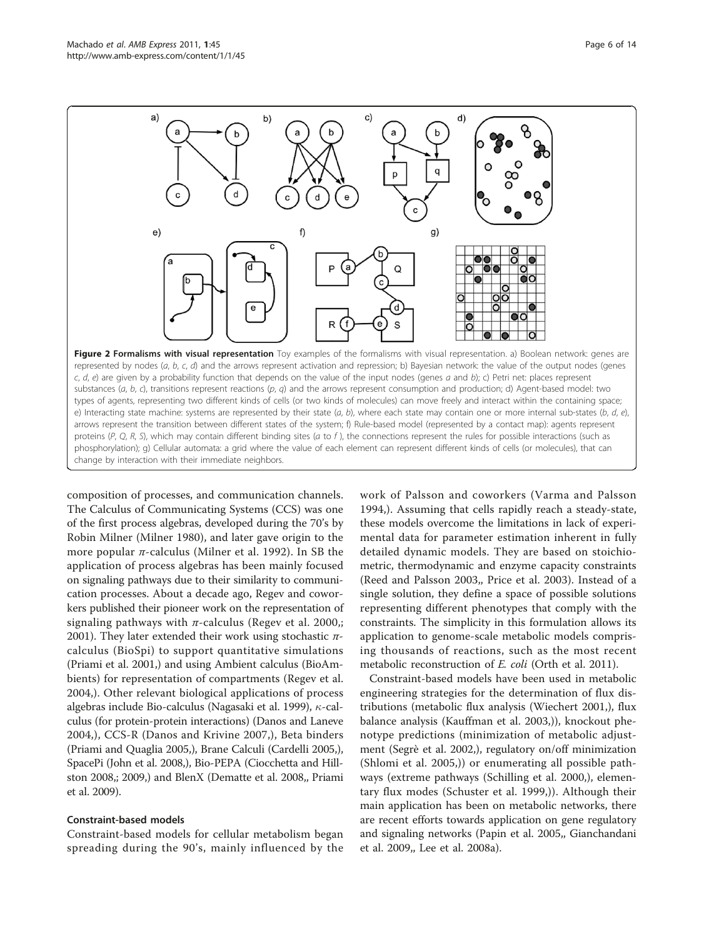<span id="page-5-0"></span>

substances ( $a$ ,  $b$ ,  $c$ ), transitions represent reactions ( $p$ ,  $q$ ) and the arrows represent consumption and production; d) Agent-based model: two types of agents, representing two different kinds of cells (or two kinds of molecules) can move freely and interact within the containing space; e) Interacting state machine: systems are represented by their state (a, b), where each state may contain one or more internal sub-states (b, d, e), arrows represent the transition between different states of the system; f) Rule-based model (represented by a contact map): agents represent proteins (P, Q, R, S), which may contain different binding sites (a to f), the connections represent the rules for possible interactions (such as phosphorylation); g) Cellular automata: a grid where the value of each element can represent different kinds of cells (or molecules), that can change by interaction with their immediate neighbors.

composition of processes, and communication channels. The Calculus of Communicating Systems (CCS) was one of the first process algebras, developed during the 70's by Robin Milner [\(Milner 1980](#page-12-0)), and later gave origin to the more popular  $\pi$ -calculus [\(Milner et al. 1992\)](#page-12-0). In SB the application of process algebras has been mainly focused on signaling pathways due to their similarity to communication processes. About a decade ago, Regev and coworkers published their pioneer work on the representation of signaling pathways with  $\pi$ -calculus ([Regev et al. 2000](#page-12-0),; [2001](#page-12-0)). They later extended their work using stochastic  $\pi$ calculus (BioSpi) to support quantitative simulations ([Priami et al. 2001](#page-12-0),) and using Ambient calculus (BioAmbients) for representation of compartments [\(Regev et al.](#page-12-0) [2004,](#page-12-0)). Other relevant biological applications of process algebras include Bio-calculus ([Nagasaki et al. 1999\)](#page-12-0),  $\kappa$ -calculus (for protein-protein interactions) [\(Danos and Laneve](#page-10-0) [2004](#page-10-0),), CCS-R [\(Danos and Krivine 2007](#page-10-0),), Beta binders ([Priami and Quaglia 2005,](#page-12-0)), Brane Calculi ([Cardelli 2005](#page-10-0),), SpacePi [\(John et al. 2008,](#page-11-0)), Bio-PEPA ([Ciocchetta and Hill](#page-10-0)[ston 2008](#page-10-0),; [2009](#page-10-0),) and BlenX ([Dematte et al. 2008](#page-10-0),, [Priami](#page-12-0) [et al. 2009](#page-12-0)).

## Constraint-based models

Constraint-based models for cellular metabolism began spreading during the 90's, mainly influenced by the work of Palsson and coworkers ([Varma and Palsson](#page-13-0) [1994,](#page-13-0)). Assuming that cells rapidly reach a steady-state, these models overcome the limitations in lack of experimental data for parameter estimation inherent in fully detailed dynamic models. They are based on stoichiometric, thermodynamic and enzyme capacity constraints ([Reed and Palsson 2003,](#page-12-0), [Price et al. 2003](#page-12-0)). Instead of a single solution, they define a space of possible solutions representing different phenotypes that comply with the constraints. The simplicity in this formulation allows its application to genome-scale metabolic models comprising thousands of reactions, such as the most recent metabolic reconstruction of E. coli ([Orth et al. 2011](#page-12-0)).

Constraint-based models have been used in metabolic engineering strategies for the determination of flux distributions (metabolic flux analysis [\(Wiechert 2001](#page-13-0),), flux balance analysis [\(Kauffman et al. 2003,](#page-11-0))), knockout phenotype predictions (minimization of metabolic adjustment [\(Segrè et al. 2002,](#page-13-0)), regulatory on/off minimization ([Shlomi et al. 2005](#page-13-0),)) or enumerating all possible pathways (extreme pathways ([Schilling et al. 2000](#page-12-0),), elementary flux modes ([Schuster et al. 1999,](#page-12-0))). Although their main application has been on metabolic networks, there are recent efforts towards application on gene regulatory and signaling networks ([Papin et al. 2005,](#page-12-0), [Gianchandani](#page-11-0) [et al. 2009](#page-11-0),, [Lee et al. 2008a](#page-12-0)).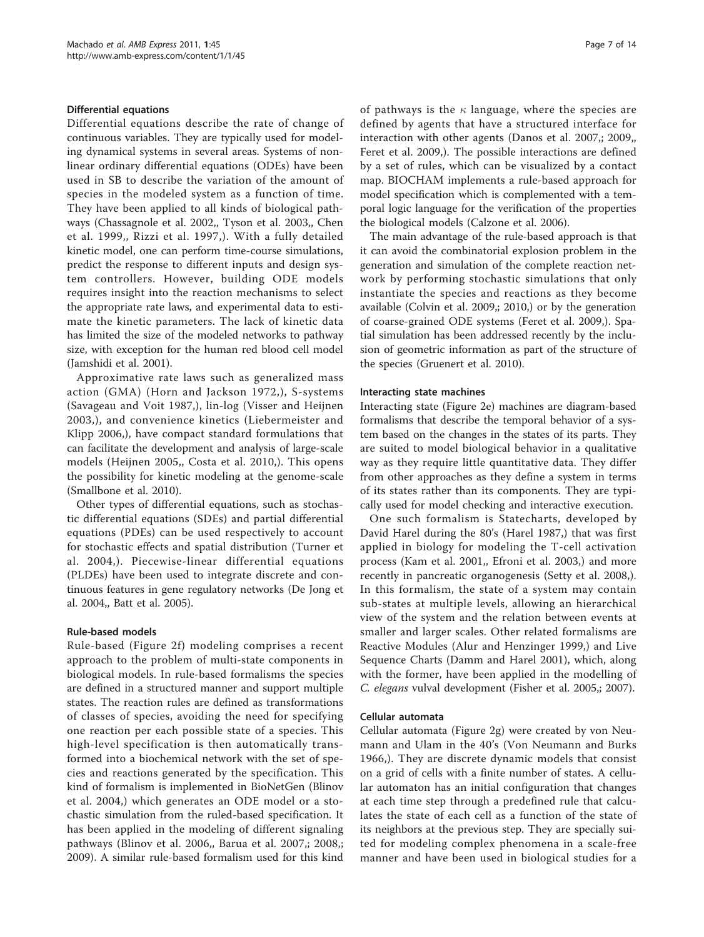## Differential equations

Differential equations describe the rate of change of continuous variables. They are typically used for modeling dynamical systems in several areas. Systems of nonlinear ordinary differential equations (ODEs) have been used in SB to describe the variation of the amount of species in the modeled system as a function of time. They have been applied to all kinds of biological pathways ([Chassagnole et al. 2002,](#page-10-0), [Tyson et al. 2003,](#page-13-0), [Chen](#page-10-0) [et al. 1999,](#page-10-0), [Rizzi et al. 1997](#page-12-0),). With a fully detailed kinetic model, one can perform time-course simulations, predict the response to different inputs and design system controllers. However, building ODE models requires insight into the reaction mechanisms to select the appropriate rate laws, and experimental data to estimate the kinetic parameters. The lack of kinetic data has limited the size of the modeled networks to pathway size, with exception for the human red blood cell model ([Jamshidi et al. 2001\)](#page-11-0).

Approximative rate laws such as generalized mass action (GMA) ([Horn and Jackson 1972](#page-11-0),), S-systems ([Savageau and Voit 1987](#page-12-0),), lin-log ([Visser and Heijnen](#page-13-0) [2003,](#page-13-0)), and convenience kinetics ([Liebermeister and](#page-12-0) [Klipp 2006](#page-12-0),), have compact standard formulations that can facilitate the development and analysis of large-scale models ([Heijnen 2005](#page-11-0),, [Costa et al. 2010,](#page-10-0)). This opens the possibility for kinetic modeling at the genome-scale ([Smallbone et al. 2010](#page-13-0)).

Other types of differential equations, such as stochastic differential equations (SDEs) and partial differential equations (PDEs) can be used respectively to account for stochastic effects and spatial distribution ([Turner et](#page-13-0) [al. 2004,](#page-13-0)). Piecewise-linear differential equations (PLDEs) have been used to integrate discrete and continuous features in gene regulatory networks ([De Jong et](#page-10-0) [al. 2004](#page-10-0),, [Batt et al. 2005](#page-10-0)).

### Rule-based models

Rule-based (Figure [2f\)](#page-5-0) modeling comprises a recent approach to the problem of multi-state components in biological models. In rule-based formalisms the species are defined in a structured manner and support multiple states. The reaction rules are defined as transformations of classes of species, avoiding the need for specifying one reaction per each possible state of a species. This high-level specification is then automatically transformed into a biochemical network with the set of species and reactions generated by the specification. This kind of formalism is implemented in BioNetGen ([Blinov](#page-10-0) [et al. 2004](#page-10-0),) which generates an ODE model or a stochastic simulation from the ruled-based specification. It has been applied in the modeling of different signaling pathways ([Blinov et al. 2006](#page-10-0),, [Barua et al. 2007,](#page-10-0); [2008](#page-10-0),; [2009](#page-10-0)). A similar rule-based formalism used for this kind of pathways is the  $\kappa$  language, where the species are defined by agents that have a structured interface for interaction with other agents [\(Danos et al. 2007](#page-10-0),; [2009](#page-10-0),, [Feret et al. 2009,](#page-11-0)). The possible interactions are defined by a set of rules, which can be visualized by a contact map. BIOCHAM implements a rule-based approach for model specification which is complemented with a temporal logic language for the verification of the properties the biological models [\(Calzone et al. 2006\)](#page-10-0).

The main advantage of the rule-based approach is that it can avoid the combinatorial explosion problem in the generation and simulation of the complete reaction network by performing stochastic simulations that only instantiate the species and reactions as they become available ([Colvin et al. 2009,](#page-10-0); [2010,](#page-10-0)) or by the generation of coarse-grained ODE systems ([Feret et al. 2009](#page-11-0),). Spatial simulation has been addressed recently by the inclusion of geometric information as part of the structure of the species ([Gruenert et al. 2010\)](#page-11-0).

## Interacting state machines

Interacting state (Figure [2e\)](#page-5-0) machines are diagram-based formalisms that describe the temporal behavior of a system based on the changes in the states of its parts. They are suited to model biological behavior in a qualitative way as they require little quantitative data. They differ from other approaches as they define a system in terms of its states rather than its components. They are typically used for model checking and interactive execution.

One such formalism is Statecharts, developed by David Harel during the 80's ([Harel 1987,](#page-11-0)) that was first applied in biology for modeling the T-cell activation process [\(Kam et al. 2001,](#page-11-0), [Efroni et al. 2003](#page-11-0),) and more recently in pancreatic organogenesis [\(Setty et al. 2008,](#page-13-0)). In this formalism, the state of a system may contain sub-states at multiple levels, allowing an hierarchical view of the system and the relation between events at smaller and larger scales. Other related formalisms are Reactive Modules ([Alur and Henzinger 1999,](#page-10-0)) and Live Sequence Charts ([Damm and Harel 2001](#page-10-0)), which, along with the former, have been applied in the modelling of C. elegans vulval development [\(Fisher et al. 2005,](#page-11-0); [2007\)](#page-11-0).

### Cellular automata

Cellular automata (Figure [2g](#page-5-0)) were created by von Neumann and Ulam in the 40's ([Von Neumann and Burks](#page-13-0) [1966](#page-13-0),). They are discrete dynamic models that consist on a grid of cells with a finite number of states. A cellular automaton has an initial configuration that changes at each time step through a predefined rule that calculates the state of each cell as a function of the state of its neighbors at the previous step. They are specially suited for modeling complex phenomena in a scale-free manner and have been used in biological studies for a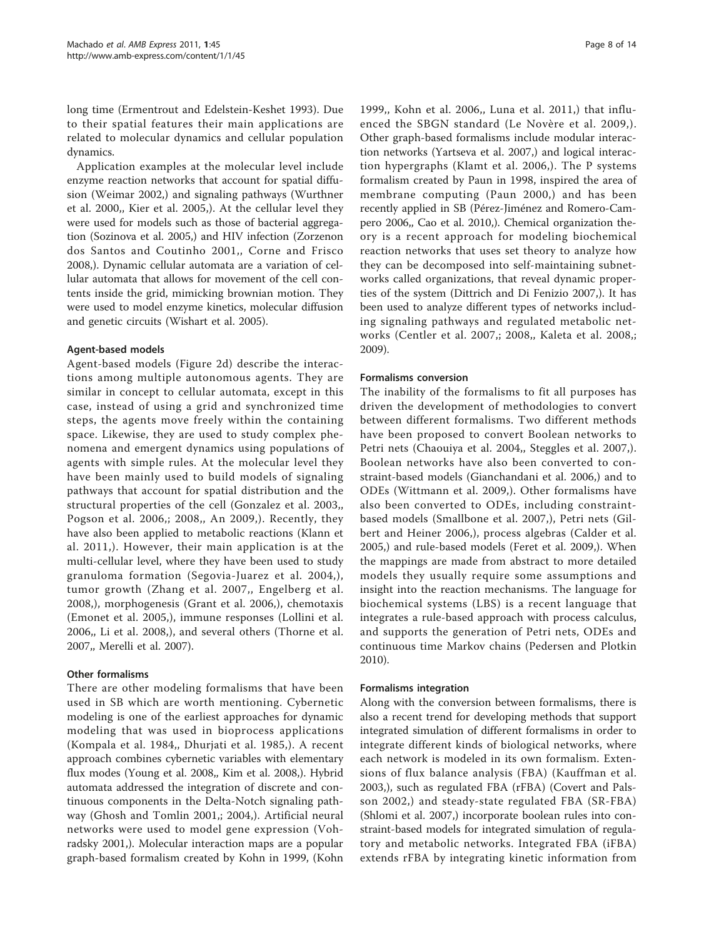long time ([Ermentrout and Edelstein-Keshet 1993\)](#page-11-0). Due to their spatial features their main applications are related to molecular dynamics and cellular population dynamics.

Application examples at the molecular level include enzyme reaction networks that account for spatial diffusion [\(Weimar 2002](#page-13-0),) and signaling pathways [\(Wurthner](#page-13-0) [et al. 2000,](#page-13-0), [Kier et al. 2005](#page-11-0),). At the cellular level they were used for models such as those of bacterial aggregation [\(Sozinova et al. 2005](#page-13-0),) and HIV infection [\(Zorzenon](#page-13-0) [dos Santos and Coutinho 2001,](#page-13-0), [Corne and Frisco](#page-10-0) [2008](#page-10-0),). Dynamic cellular automata are a variation of cellular automata that allows for movement of the cell contents inside the grid, mimicking brownian motion. They were used to model enzyme kinetics, molecular diffusion and genetic circuits [\(Wishart et al. 2005\)](#page-13-0).

## Agent-based models

Agent-based models (Figure [2d\)](#page-5-0) describe the interactions among multiple autonomous agents. They are similar in concept to cellular automata, except in this case, instead of using a grid and synchronized time steps, the agents move freely within the containing space. Likewise, they are used to study complex phenomena and emergent dynamics using populations of agents with simple rules. At the molecular level they have been mainly used to build models of signaling pathways that account for spatial distribution and the structural properties of the cell [\(Gonzalez et al. 2003](#page-11-0),, [Pogson et al. 2006](#page-12-0),; [2008](#page-12-0),, [An 2009,](#page-10-0)). Recently, they have also been applied to metabolic reactions ([Klann et](#page-11-0) [al. 2011,](#page-11-0)). However, their main application is at the multi-cellular level, where they have been used to study granuloma formation ([Segovia-Juarez et al. 2004](#page-12-0),), tumor growth ([Zhang et al. 2007](#page-13-0),, [Engelberg et al.](#page-11-0) [2008,](#page-11-0)), morphogenesis ([Grant et al. 2006,](#page-11-0)), chemotaxis ([Emonet et al. 2005,](#page-11-0)), immune responses ([Lollini et al.](#page-12-0) [2006,](#page-12-0), [Li et al. 2008,](#page-12-0)), and several others [\(Thorne et al.](#page-13-0) [2007](#page-13-0),, [Merelli et al. 2007\)](#page-12-0).

### Other formalisms

There are other modeling formalisms that have been used in SB which are worth mentioning. Cybernetic modeling is one of the earliest approaches for dynamic modeling that was used in bioprocess applications ([Kompala et al. 1984,](#page-12-0), [Dhurjati et al. 1985](#page-11-0),). A recent approach combines cybernetic variables with elementary flux modes [\(Young et al. 2008,](#page-13-0), [Kim et al. 2008](#page-11-0),). Hybrid automata addressed the integration of discrete and continuous components in the Delta-Notch signaling pathway [\(Ghosh and Tomlin 2001,](#page-11-0); [2004](#page-11-0),). Artificial neural networks were used to model gene expression ([Voh](#page-13-0)[radsky 2001](#page-13-0),). Molecular interaction maps are a popular graph-based formalism created by [Kohn in 1999](#page-12-0), ([Kohn](#page-12-0)

[1999](#page-12-0),, [Kohn et al. 2006](#page-12-0),, [Luna et al. 2011](#page-12-0),) that influenced the SBGN standard ([Le Novère et al. 2009](#page-12-0),). Other graph-based formalisms include modular interaction networks ([Yartseva et al. 2007,](#page-13-0)) and logical interaction hypergraphs ([Klamt et al. 2006](#page-11-0),). The P systems formalism created by Paun in 1998, inspired the area of membrane computing ([Paun 2000](#page-12-0),) and has been recently applied in SB ([Pérez-Jiménez and Romero-Cam](#page-12-0)[pero 2006,](#page-12-0), [Cao et al. 2010,](#page-10-0)). Chemical organization theory is a recent approach for modeling biochemical reaction networks that uses set theory to analyze how they can be decomposed into self-maintaining subnetworks called organizations, that reveal dynamic properties of the system [\(Dittrich and Di Fenizio 2007](#page-11-0),). It has been used to analyze different types of networks including signaling pathways and regulated metabolic networks ([Centler et al. 2007](#page-10-0),; [2008,](#page-10-0), [Kaleta et al. 2008](#page-11-0),; [2009](#page-11-0)).

#### Formalisms conversion

The inability of the formalisms to fit all purposes has driven the development of methodologies to convert between different formalisms. Two different methods have been proposed to convert Boolean networks to Petri nets ([Chaouiya et al. 2004](#page-10-0),, [Steggles et al. 2007,](#page-13-0)). Boolean networks have also been converted to constraint-based models [\(Gianchandani et al. 2006,](#page-11-0)) and to ODEs [\(Wittmann et al. 2009,](#page-13-0)). Other formalisms have also been converted to ODEs, including constraintbased models [\(Smallbone et al. 2007](#page-13-0),), Petri nets ([Gil](#page-11-0)[bert and Heiner 2006,](#page-11-0)), process algebras ([Calder et al.](#page-10-0) [2005,](#page-10-0)) and rule-based models [\(Feret et al. 2009](#page-11-0),). When the mappings are made from abstract to more detailed models they usually require some assumptions and insight into the reaction mechanisms. The language for biochemical systems (LBS) is a recent language that integrates a rule-based approach with process calculus, and supports the generation of Petri nets, ODEs and continuous time Markov chains ([Pedersen and Plotkin](#page-12-0) [2010](#page-12-0)).

## Formalisms integration

Along with the conversion between formalisms, there is also a recent trend for developing methods that support integrated simulation of different formalisms in order to integrate different kinds of biological networks, where each network is modeled in its own formalism. Extensions of flux balance analysis (FBA) ([Kauffman et al.](#page-11-0) [2003,](#page-11-0)), such as regulated FBA (rFBA) [\(Covert and Pals](#page-10-0)[son 2002,](#page-10-0)) and steady-state regulated FBA (SR-FBA) ([Shlomi et al. 2007,](#page-13-0)) incorporate boolean rules into constraint-based models for integrated simulation of regulatory and metabolic networks. Integrated FBA (iFBA) extends rFBA by integrating kinetic information from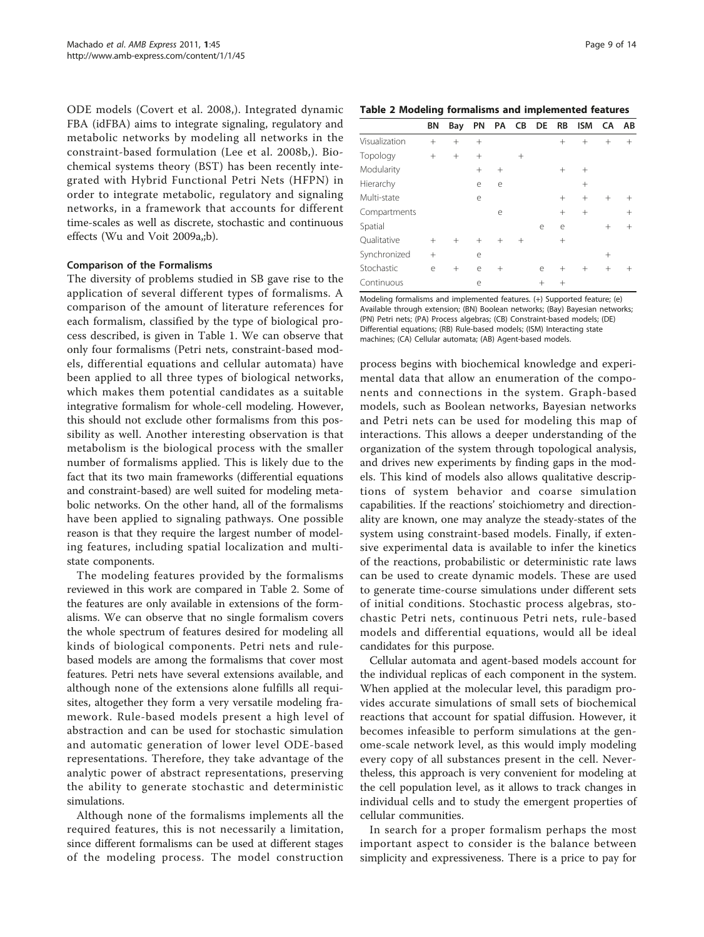ODE models [\(Covert et al. 2008,](#page-10-0)). Integrated dynamic FBA (idFBA) aims to integrate signaling, regulatory and metabolic networks by modeling all networks in the constraint-based formulation ([Lee et al. 2008b,](#page-12-0)). Biochemical systems theory (BST) has been recently integrated with Hybrid Functional Petri Nets (HFPN) in order to integrate metabolic, regulatory and signaling networks, in a framework that accounts for different time-scales as well as discrete, stochastic and continuous effects ([Wu and Voit 2009a](#page-13-0),[;b](#page-13-0)).

## Comparison of the Formalisms

The diversity of problems studied in SB gave rise to the application of several different types of formalisms. A comparison of the amount of literature references for each formalism, classified by the type of biological process described, is given in Table [1.](#page-4-0) We can observe that only four formalisms (Petri nets, constraint-based models, differential equations and cellular automata) have been applied to all three types of biological networks, which makes them potential candidates as a suitable integrative formalism for whole-cell modeling. However, this should not exclude other formalisms from this possibility as well. Another interesting observation is that metabolism is the biological process with the smaller number of formalisms applied. This is likely due to the fact that its two main frameworks (differential equations and constraint-based) are well suited for modeling metabolic networks. On the other hand, all of the formalisms have been applied to signaling pathways. One possible reason is that they require the largest number of modeling features, including spatial localization and multistate components.

The modeling features provided by the formalisms reviewed in this work are compared in Table 2. Some of the features are only available in extensions of the formalisms. We can observe that no single formalism covers the whole spectrum of features desired for modeling all kinds of biological components. Petri nets and rulebased models are among the formalisms that cover most features. Petri nets have several extensions available, and although none of the extensions alone fulfills all requisites, altogether they form a very versatile modeling framework. Rule-based models present a high level of abstraction and can be used for stochastic simulation and automatic generation of lower level ODE-based representations. Therefore, they take advantage of the analytic power of abstract representations, preserving the ability to generate stochastic and deterministic simulations.

Although none of the formalisms implements all the required features, this is not necessarily a limitation, since different formalisms can be used at different stages of the modeling process. The model construction

| Table 2 Modeling formalisms and implemented features |  |  |  |
|------------------------------------------------------|--|--|--|
|------------------------------------------------------|--|--|--|

|               | BN     | Bay    | PN     | <b>PA</b> | CB    | <b>DE</b> | RB     | <b>ISM</b> | CA     | AB     |
|---------------|--------|--------|--------|-----------|-------|-----------|--------|------------|--------|--------|
| Visualization | $+$    | $^{+}$ | $^{+}$ |           |       |           | $^{+}$ | $^{+}$     | $^{+}$ | $^{+}$ |
| Topology      | $^{+}$ | $^{+}$ | $+$    |           | $\pm$ |           |        |            |        |        |
| Modularity    |        |        | $^{+}$ | $^{+}$    |       |           | $^{+}$ | $^{+}$     |        |        |
| Hierarchy     |        |        | е      | e         |       |           |        | $^{+}$     |        |        |
| Multi-state   |        |        | e      |           |       |           | $^{+}$ | $^{+}$     | $^{+}$ | $^{+}$ |
| Compartments  |        |        |        | e         |       |           | $+$    | $^{+}$     |        | $^{+}$ |
| Spatial       |        |        |        |           |       | e         | e      |            | $^{+}$ | $^{+}$ |
| Qualitative   | $+$    | $^{+}$ | $^{+}$ | $^{+}$    | $\pm$ |           | $^{+}$ |            |        |        |
| Synchronized  | $+$    |        | e      |           |       |           |        |            | $^{+}$ |        |
| Stochastic    | e      | $^{+}$ | e      | $^{+}$    |       | e         | $^{+}$ | $^{+}$     | $^{+}$ | $^{+}$ |
| Continuous    |        |        | e      |           |       | $^{+}$    | $^{+}$ |            |        |        |

Modeling formalisms and implemented features. (+) Supported feature; (e) Available through extension; (BN) Boolean networks; (Bay) Bayesian networks; (PN) Petri nets; (PA) Process algebras; (CB) Constraint-based models; (DE) Differential equations; (RB) Rule-based models; (ISM) Interacting state machines; (CA) Cellular automata; (AB) Agent-based models.

process begins with biochemical knowledge and experimental data that allow an enumeration of the components and connections in the system. Graph-based models, such as Boolean networks, Bayesian networks and Petri nets can be used for modeling this map of interactions. This allows a deeper understanding of the organization of the system through topological analysis, and drives new experiments by finding gaps in the models. This kind of models also allows qualitative descriptions of system behavior and coarse simulation capabilities. If the reactions' stoichiometry and directionality are known, one may analyze the steady-states of the system using constraint-based models. Finally, if extensive experimental data is available to infer the kinetics of the reactions, probabilistic or deterministic rate laws can be used to create dynamic models. These are used to generate time-course simulations under different sets of initial conditions. Stochastic process algebras, stochastic Petri nets, continuous Petri nets, rule-based models and differential equations, would all be ideal candidates for this purpose.

Cellular automata and agent-based models account for the individual replicas of each component in the system. When applied at the molecular level, this paradigm provides accurate simulations of small sets of biochemical reactions that account for spatial diffusion. However, it becomes infeasible to perform simulations at the genome-scale network level, as this would imply modeling every copy of all substances present in the cell. Nevertheless, this approach is very convenient for modeling at the cell population level, as it allows to track changes in individual cells and to study the emergent properties of cellular communities.

In search for a proper formalism perhaps the most important aspect to consider is the balance between simplicity and expressiveness. There is a price to pay for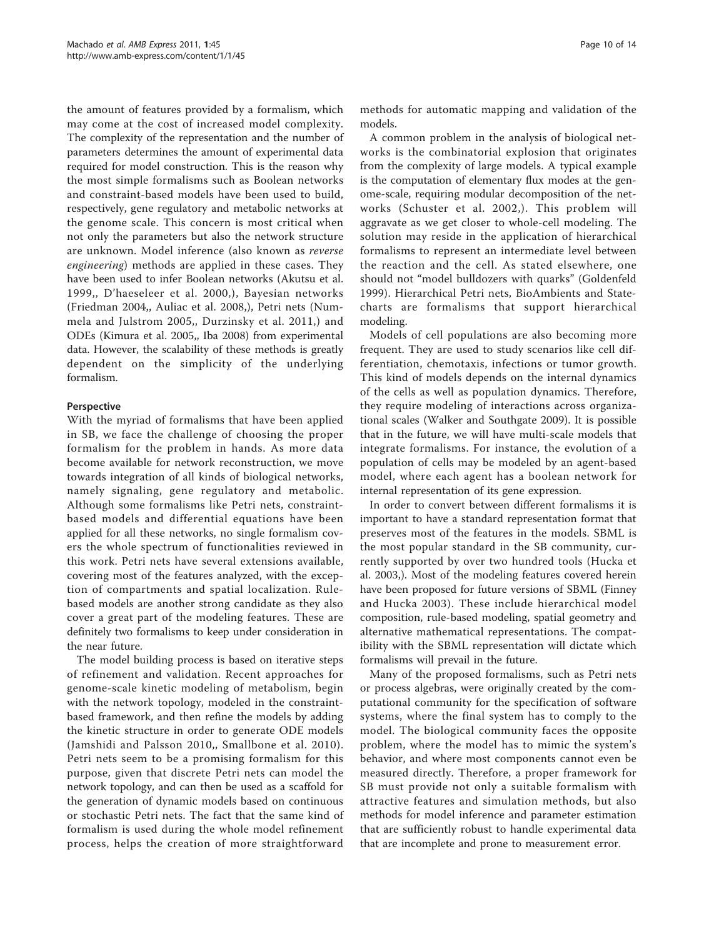the amount of features provided by a formalism, which may come at the cost of increased model complexity. The complexity of the representation and the number of parameters determines the amount of experimental data required for model construction. This is the reason why the most simple formalisms such as Boolean networks and constraint-based models have been used to build, respectively, gene regulatory and metabolic networks at the genome scale. This concern is most critical when not only the parameters but also the network structure are unknown. Model inference (also known as reverse engineering) methods are applied in these cases. They have been used to infer Boolean networks ([Akutsu et al.](#page-10-0) [1999](#page-10-0),, D'[haeseleer et al. 2000](#page-10-0),), Bayesian networks ([Friedman 2004,](#page-11-0), [Auliac et al. 2008,](#page-10-0)), Petri nets ([Num](#page-12-0)[mela and Julstrom 2005](#page-12-0),, [Durzinsky et al. 2011](#page-11-0),) and ODEs [\(Kimura et al. 2005](#page-11-0),, [Iba 2008\)](#page-11-0) from experimental data. However, the scalability of these methods is greatly dependent on the simplicity of the underlying formalism.

## Perspective

With the myriad of formalisms that have been applied in SB, we face the challenge of choosing the proper formalism for the problem in hands. As more data become available for network reconstruction, we move towards integration of all kinds of biological networks, namely signaling, gene regulatory and metabolic. Although some formalisms like Petri nets, constraintbased models and differential equations have been applied for all these networks, no single formalism covers the whole spectrum of functionalities reviewed in this work. Petri nets have several extensions available, covering most of the features analyzed, with the exception of compartments and spatial localization. Rulebased models are another strong candidate as they also cover a great part of the modeling features. These are definitely two formalisms to keep under consideration in the near future.

The model building process is based on iterative steps of refinement and validation. Recent approaches for genome-scale kinetic modeling of metabolism, begin with the network topology, modeled in the constraintbased framework, and then refine the models by adding the kinetic structure in order to generate ODE models ([Jamshidi and Palsson 2010,](#page-11-0), [Smallbone et al. 2010\)](#page-13-0). Petri nets seem to be a promising formalism for this purpose, given that discrete Petri nets can model the network topology, and can then be used as a scaffold for the generation of dynamic models based on continuous or stochastic Petri nets. The fact that the same kind of formalism is used during the whole model refinement process, helps the creation of more straightforward

methods for automatic mapping and validation of the models.

A common problem in the analysis of biological networks is the combinatorial explosion that originates from the complexity of large models. A typical example is the computation of elementary flux modes at the genome-scale, requiring modular decomposition of the networks ([Schuster et al. 2002](#page-12-0),). This problem will aggravate as we get closer to whole-cell modeling. The solution may reside in the application of hierarchical formalisms to represent an intermediate level between the reaction and the cell. As stated elsewhere, one should not "model bulldozers with quarks" ([Goldenfeld](#page-11-0) [1999](#page-11-0)). Hierarchical Petri nets, BioAmbients and Statecharts are formalisms that support hierarchical modeling.

Models of cell populations are also becoming more frequent. They are used to study scenarios like cell differentiation, chemotaxis, infections or tumor growth. This kind of models depends on the internal dynamics of the cells as well as population dynamics. Therefore, they require modeling of interactions across organizational scales ([Walker and Southgate 2009](#page-13-0)). It is possible that in the future, we will have multi-scale models that integrate formalisms. For instance, the evolution of a population of cells may be modeled by an agent-based model, where each agent has a boolean network for internal representation of its gene expression.

In order to convert between different formalisms it is important to have a standard representation format that preserves most of the features in the models. SBML is the most popular standard in the SB community, currently supported by over two hundred tools ([Hucka et](#page-11-0) [al. 2003,](#page-11-0)). Most of the modeling features covered herein have been proposed for future versions of SBML [\(Finney](#page-11-0) [and Hucka 2003](#page-11-0)). These include hierarchical model composition, rule-based modeling, spatial geometry and alternative mathematical representations. The compatibility with the SBML representation will dictate which formalisms will prevail in the future.

Many of the proposed formalisms, such as Petri nets or process algebras, were originally created by the computational community for the specification of software systems, where the final system has to comply to the model. The biological community faces the opposite problem, where the model has to mimic the system's behavior, and where most components cannot even be measured directly. Therefore, a proper framework for SB must provide not only a suitable formalism with attractive features and simulation methods, but also methods for model inference and parameter estimation that are sufficiently robust to handle experimental data that are incomplete and prone to measurement error.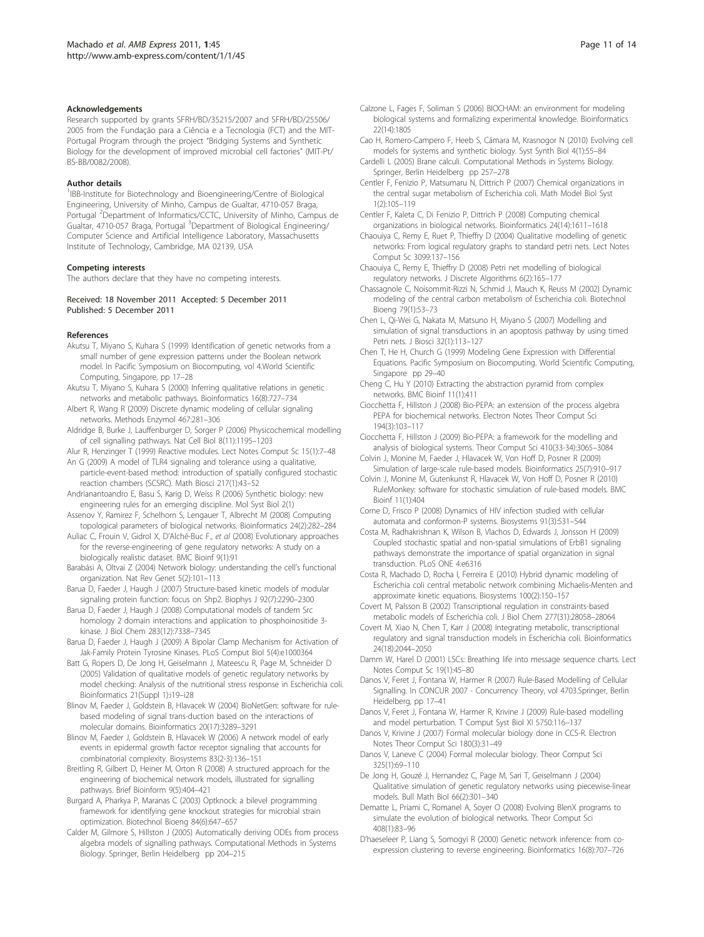#### <span id="page-10-0"></span>Acknowledgements

Research supported by grants SFRH/BD/35215/2007 and SFRH/BD/25506/ 2005 from the Fundação para a Ciência e a Tecnologia (FCT) and the MIT-Portugal Program through the project "Bridging Systems and Synthetic Biology for the development of improved microbial cell factories" (MIT-Pt/ BS-BB/0082/2008).

#### Author details

<sup>1</sup>IBB-Institute for Biotechnology and Bioengineering/Centre of Biological Engineering, University of Minho, Campus de Gualtar, 4710-057 Braga, Portugal <sup>2</sup>Department of Informatics/CCTC, University of Minho, Campus de Gualtar, 4710-057 Braga, Portugal <sup>3</sup>Department of Biological Engineering/ Computer Science and Artificial Intelligence Laboratory, Massachusetts Institute of Technology, Cambridge, MA 02139, USA

#### Competing interests

The authors declare that they have no competing interests.

Received: 18 November 2011 Accepted: 5 December 2011 Published: 5 December 2011

#### References

- Akutsu T, Miyano S, Kuhara S (1999) Identification of genetic networks from a small number of gene expression patterns under the Boolean network model. In Pacific Symposium on Biocomputing, vol 4.World Scientific Computing, Singapore, pp 17–28
- Akutsu T, Miyano S, Kuhara S (2000) Inferring qualitative relations in genetic networks and metabolic pathways. Bioinformatics 16(8):727–734
- Albert R, Wang R (2009) Discrete dynamic modeling of cellular signaling networks. Methods Enzymol 467:281–306
- Aldridge B, Burke J, Lauffenburger D, Sorger P (2006) Physicochemical modelling of cell signalling pathways. Nat Cell Biol 8(11):1195–1203
- Alur R, Henzinger T (1999) Reactive modules. Lect Notes Comput Sc 15(1):7–48 An G (2009) A model of TLR4 signaling and tolerance using a qualitative, particle-event-based method: introduction of spatially configured stochastic
- reaction chambers (SCSRC). Math Biosci 217(1):43–52 Andrianantoandro E, Basu S, Karig D, Weiss R (2006) Synthetic biology: new
- engineering rules for an emerging discipline. Mol Syst Biol 2(1) Assenov Y, Ramirez F, Schelhorn S, Lengauer T, Albrecht M (2008) Computing
- topological parameters of biological networks. Bioinformatics 24(2):282–284 Auliac C, Frouin V, Gidrol X, D'Alché-Buc F., et al (2008) Evolutionary approaches
- for the reverse-engineering of gene regulatory networks: A study on a biologically realistic dataset. BMC Bioinf 9(1):91
- Barabási A, Oltvai Z (2004) Network biology: understanding the cell's functional organization. Nat Rev Genet 5(2):101–113
- Barua D, Faeder J, Haugh J (2007) Structure-based kinetic models of modular signaling protein function: focus on Shp2. Biophys J 92(7):2290–2300
- Barua D, Faeder J, Haugh J (2008) Computational models of tandem Src homology 2 domain interactions and application to phosphoinositide 3 kinase. J Biol Chem 283(12):7338–7345
- Barua D, Faeder J, Haugh J (2009) A Bipolar Clamp Mechanism for Activation of Jak-Family Protein Tyrosine Kinases. PLoS Comput Biol 5(4):e1000364
- Batt G, Ropers D, De Jong H, Geiselmann J, Mateescu R, Page M, Schneider D (2005) Validation of qualitative models of genetic regulatory networks by model checking: Analysis of the nutritional stress response in Escherichia coli. Bioinformatics 21(Suppl 1):i19–i28
- Blinov M, Faeder J, Goldstein B, Hlavacek W (2004) BioNetGen: software for rulebased modeling of signal trans-duction based on the interactions of molecular domains. Bioinformatics 20(17):3289–3291
- Blinov M, Faeder J, Goldstein B, Hlavacek W (2006) A network model of early events in epidermal growth factor receptor signaling that accounts for combinatorial complexity. Biosystems 83(2-3):136–151
- Breitling R, Gilbert D, Heiner M, Orton R (2008) A structured approach for the engineering of biochemical network models, illustrated for signalling pathways. Brief Bioinform 9(5):404–421
- Burgard A, Pharkya P, Maranas C (2003) Optknock: a bilevel programming framework for identifying gene knockout strategies for microbial strain optimization. Biotechnol Bioeng 84(6):647–657
- Calder M, Gilmore S, Hillston J (2005) Automatically deriving ODEs from process algebra models of signalling pathways. Computational Methods in Systems Biology. Springer, Berlin Heidelberg pp 204–215
- Calzone L, Fages F, Soliman S (2006) BIOCHAM: an environment for modeling biological systems and formalizing experimental knowledge. Bioinformatics 22(14):1805
- Cao H, Romero-Campero F, Heeb S, Cámara M, Krasnogor N (2010) Evolving cell models for systems and synthetic biology. Syst Synth Biol 4(1):55–84
- Cardelli L (2005) Brane calculi. Computational Methods in Systems Biology. Springer, Berlin Heidelberg pp 257–278
- Centler F, Fenizio P, Matsumaru N, Dittrich P (2007) Chemical organizations in the central sugar metabolism of Escherichia coli. Math Model Biol Syst 1(2):105–119
- Centler F, Kaleta C, Di Fenizio P, Dittrich P (2008) Computing chemical organizations in biological networks. Bioinformatics 24(14):1611–1618
- Chaouiya C, Remy E, Ruet P, Thieffry D (2004) Qualitative modelling of genetic networks: From logical regulatory graphs to standard petri nets. Lect Notes Comput Sc 3099:137–156
- Chaouiya C, Remy E, Thieffry D (2008) Petri net modelling of biological regulatory networks. J Discrete Algorithms 6(2):165–177
- Chassagnole C, Noisommit-Rizzi N, Schmid J, Mauch K, Reuss M (2002) Dynamic modeling of the central carbon metabolism of Escherichia coli. Biotechnol Bioeng 79(1):53–73
- Chen L, Qi-Wei G, Nakata M, Matsuno H, Miyano S (2007) Modelling and simulation of signal transductions in an apoptosis pathway by using timed Petri nets. J Biosci 32(1):113–127
- Chen T, He H, Church G (1999) Modeling Gene Expression with Differential Equations. Pacific Symposium on Biocomputing. World Scientific Computing, Singapore pp 29–40
- Cheng C, Hu Y (2010) Extracting the abstraction pyramid from complex networks. BMC Bioinf 11(1):411
- Ciocchetta F, Hillston J (2008) Bio-PEPA: an extension of the process algebra PEPA for biochemical networks. Electron Notes Theor Comput Sci 194(3):103–117
- Ciocchetta F, Hillston J (2009) Bio-PEPA: a framework for the modelling and analysis of biological systems. Theor Comput Sci 410(33-34):3065–3084
- Colvin J, Monine M, Faeder J, Hlavacek W, Von Hoff D, Posner R (2009) Simulation of large-scale rule-based models. Bioinformatics 25(7):910–917
- Colvin J, Monine M, Gutenkunst R, Hlavacek W, Von Hoff D, Posner R (2010) RuleMonkey: software for stochastic simulation of rule-based models. BMC Bioinf 11(1):404
- Corne D, Frisco P (2008) Dynamics of HIV infection studied with cellular automata and conformon-P systems. Biosystems 91(3):531–544
- Costa M, Radhakrishnan K, Wilson B, Vlachos D, Edwards J, Jonsson H (2009) Coupled stochastic spatial and non-spatial simulations of ErbB1 signaling pathways demonstrate the importance of spatial organization in signal transduction. PLoS ONE 4:e6316
- Costa R, Machado D, Rocha I, Ferreira E (2010) Hybrid dynamic modeling of Escherichia coli central metabolic network combining Michaelis-Menten and approximate kinetic equations. Biosystems 100(2):150–157

Covert M, Palsson B (2002) Transcriptional regulation in constraints-based metabolic models of Escherichia coli. J Biol Chem 277(31):28058–28064

- Covert M, Xiao N, Chen T, Karr J (2008) Integrating metabolic, transcriptional regulatory and signal transduction models in Escherichia coli. Bioinformatics 24(18):2044–2050
- Damm W, Harel D (2001) LSCs: Breathing life into message sequence charts. Lect Notes Comput Sc 19(1):45–80
- Danos V, Feret J, Fontana W, Harmer R (2007) Rule-Based Modelling of Cellular Signalling. In CONCUR 2007 - Concurrency Theory, vol 4703.Springer, Berlin Heidelberg, pp 17–41
- Danos V, Feret J, Fontana W, Harmer R, Krivine J (2009) Rule-based modelling and model perturbation. T Comput Syst Biol XI 5750:116–137
- Danos V, Krivine J (2007) Formal molecular biology done in CCS-R. Electron Notes Theor Comput Sci 180(3):31–49
- Danos V, Laneve C (2004) Formal molecular biology. Theor Comput Sci 325(1):69–110
- De Jong H, Gouzé J, Hernandez C, Page M, Sari T, Geiselmann J (2004) Qualitative simulation of genetic regulatory networks using piecewise-linear models. Bull Math Biol 66(2):301–340
- Dematte L, Priami C, Romanel A, Soyer O (2008) Evolving BlenX programs to simulate the evolution of biological networks. Theor Comput Sci 408(1):83–96
- D'haeseleer P, Liang S, Somogyi R (2000) Genetic network inference: from coexpression clustering to reverse engineering. Bioinformatics 16(8):707–726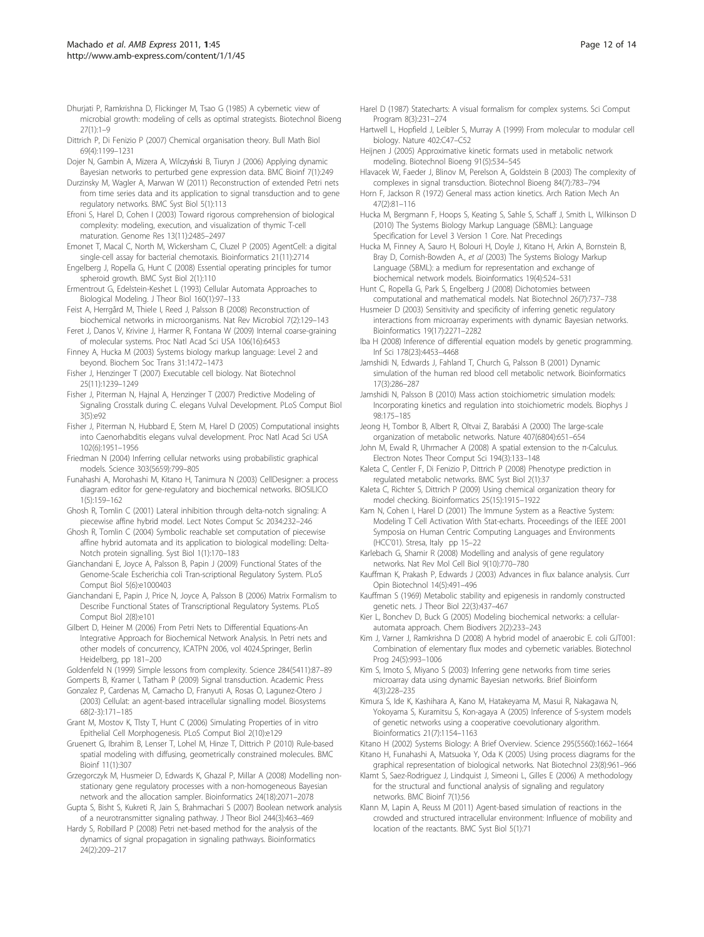- <span id="page-11-0"></span>Dhurjati P, Ramkrishna D, Flickinger M, Tsao G (1985) A cybernetic view of microbial growth: modeling of cells as optimal strategists. Biotechnol Bioeng 27(1):1–9
- Dittrich P, Di Fenizio P (2007) Chemical organisation theory. Bull Math Biol 69(4):1199–1231
- Dojer N, Gambin A, Mizera A, Wilczyński B, Tiuryn J (2006) Applying dynamic Bayesian networks to perturbed gene expression data. BMC Bioinf 7(1):249
- Durzinsky M, Wagler A, Marwan W (2011) Reconstruction of extended Petri nets from time series data and its application to signal transduction and to gene regulatory networks. BMC Syst Biol 5(1):113
- Efroni S, Harel D, Cohen I (2003) Toward rigorous comprehension of biological complexity: modeling, execution, and visualization of thymic T-cell maturation. Genome Res 13(11):2485–2497
- Emonet T, Macal C, North M, Wickersham C, Cluzel P (2005) AgentCell: a digital single-cell assay for bacterial chemotaxis. Bioinformatics 21(11):2714
- Engelberg J, Ropella G, Hunt C (2008) Essential operating principles for tumor spheroid growth. BMC Syst Biol 2(1):110
- Ermentrout G, Edelstein-Keshet L (1993) Cellular Automata Approaches to Biological Modeling. J Theor Biol 160(1):97–133
- Feist A, Herrgård M, Thiele I, Reed J, Palsson B (2008) Reconstruction of biochemical networks in microorganisms. Nat Rev Microbiol 7(2):129–143
- Feret J, Danos V, Krivine J, Harmer R, Fontana W (2009) Internal coarse-graining of molecular systems. Proc Natl Acad Sci USA 106(16):6453
- Finney A, Hucka M (2003) Systems biology markup language: Level 2 and beyond. Biochem Soc Trans 31:1472–1473
- Fisher J, Henzinger T (2007) Executable cell biology. Nat Biotechnol 25(11):1239–1249
- Fisher J, Piterman N, Hajnal A, Henzinger T (2007) Predictive Modeling of Signaling Crosstalk during C. elegans Vulval Development. PLoS Comput Biol 3(5):e92
- Fisher J, Piterman N, Hubbard E, Stern M, Harel D (2005) Computational insights into Caenorhabditis elegans vulval development. Proc Natl Acad Sci USA 102(6):1951–1956
- Friedman N (2004) Inferring cellular networks using probabilistic graphical models. Science 303(5659):799–805
- Funahashi A, Morohashi M, Kitano H, Tanimura N (2003) CellDesigner: a process diagram editor for gene-regulatory and biochemical networks. BIOSILICO 1(5):159–162
- Ghosh R, Tomlin C (2001) Lateral inhibition through delta-notch signaling: A piecewise affine hybrid model. Lect Notes Comput Sc 2034:232–246
- Ghosh R, Tomlin C (2004) Symbolic reachable set computation of piecewise affine hybrid automata and its application to biological modelling: Delta-Notch protein signalling. Syst Biol 1(1):170–183
- Gianchandani E, Joyce A, Palsson B, Papin J (2009) Functional States of the Genome-Scale Escherichia coli Tran-scriptional Regulatory System. PLoS Comput Biol 5(6):e1000403
- Gianchandani E, Papin J, Price N, Joyce A, Palsson B (2006) Matrix Formalism to Describe Functional States of Transcriptional Regulatory Systems. PLoS Comput Biol 2(8):e101
- Gilbert D, Heiner M (2006) From Petri Nets to Differential Equations-An Integrative Approach for Biochemical Network Analysis. In Petri nets and other models of concurrency, ICATPN 2006, vol 4024.Springer, Berlin Heidelberg, pp 181–200
- Goldenfeld N (1999) Simple lessons from complexity. Science 284(5411):87–89 Gomperts B, Kramer I, Tatham P (2009) Signal transduction. Academic Press
- Gonzalez P, Cardenas M, Camacho D, Franyuti A, Rosas O, Lagunez-Otero J (2003) Cellulat: an agent-based intracellular signalling model. Biosystems 68(2-3):171–185
- Grant M, Mostov K, Tlsty T, Hunt C (2006) Simulating Properties of in vitro Epithelial Cell Morphogenesis. PLoS Comput Biol 2(10):e129
- Gruenert G, Ibrahim B, Lenser T, Lohel M, Hinze T, Dittrich P (2010) Rule-based spatial modeling with diffusing, geometrically constrained molecules. BMC Bioinf 11(1):307
- Grzegorczyk M, Husmeier D, Edwards K, Ghazal P, Millar A (2008) Modelling nonstationary gene regulatory processes with a non-homogeneous Bayesian network and the allocation sampler. Bioinformatics 24(18):2071–2078
- Gupta S, Bisht S, Kukreti R, Jain S, Brahmachari S (2007) Boolean network analysis of a neurotransmitter signaling pathway. J Theor Biol 244(3):463–469
- Hardy S, Robillard P (2008) Petri net-based method for the analysis of the dynamics of signal propagation in signaling pathways. Bioinformatics 24(2):209–217
- Harel D (1987) Statecharts: A visual formalism for complex systems. Sci Comput Program 8(3):231–274
- Hartwell L, Hopfield J, Leibler S, Murray A (1999) From molecular to modular cell biology. Nature 402:C47–C52
- Heijnen J (2005) Approximative kinetic formats used in metabolic network modeling. Biotechnol Bioeng 91(5):534–545
- Hlavacek W, Faeder J, Blinov M, Perelson A, Goldstein B (2003) The complexity of complexes in signal transduction. Biotechnol Bioeng 84(7):783–794
- Horn F, Jackson R (1972) General mass action kinetics. Arch Ration Mech An 47(2):81–116
- Hucka M, Bergmann F, Hoops S, Keating S, Sahle S, Schaff J, Smith L, Wilkinson D (2010) The Systems Biology Markup Language (SBML): Language Specification for Level 3 Version 1 Core. Nat Precedings
- Hucka M, Finney A, Sauro H, Bolouri H, Doyle J, Kitano H, Arkin A, Bornstein B, Bray D, Cornish-Bowden A., et al (2003) The Systems Biology Markup Language (SBML): a medium for representation and exchange of biochemical network models. Bioinformatics 19(4):524–531
- Hunt C, Ropella G, Park S, Engelberg J (2008) Dichotomies between computational and mathematical models. Nat Biotechnol 26(7):737–738
- Husmeier D (2003) Sensitivity and specificity of inferring genetic regulatory interactions from microarray experiments with dynamic Bayesian networks. Bioinformatics 19(17):2271–2282
- Iba H (2008) Inference of differential equation models by genetic programming. Inf Sci 178(23):4453–4468
- Jamshidi N, Edwards J, Fahland T, Church G, Palsson B (2001) Dynamic simulation of the human red blood cell metabolic network. Bioinformatics 17(3):286–287
- Jamshidi N, Palsson B (2010) Mass action stoichiometric simulation models: Incorporating kinetics and regulation into stoichiometric models. Biophys J 98:175–185
- Jeong H, Tombor B, Albert R, Oltvai Z, Barabási A (2000) The large-scale organization of metabolic networks. Nature 407(6804):651–654
- John M, Ewald R, Uhrmacher A (2008) A spatial extension to the π-Calculus. Electron Notes Theor Comput Sci 194(3):133–148
- Kaleta C, Centler F, Di Fenizio P, Dittrich P (2008) Phenotype prediction in regulated metabolic networks. BMC Syst Biol 2(1):37
- Kaleta C, Richter S, Dittrich P (2009) Using chemical organization theory for model checking. Bioinformatics 25(15):1915–1922
- Kam N, Cohen I, Harel D (2001) The Immune System as a Reactive System: Modeling T Cell Activation With Stat-echarts. Proceedings of the IEEE 2001 Symposia on Human Centric Computing Languages and Environments (HCC'01). Stresa, Italy pp 15–22
- Karlebach G, Shamir R (2008) Modelling and analysis of gene regulatory networks. Nat Rev Mol Cell Biol 9(10):770–780
- Kauffman K, Prakash P, Edwards J (2003) Advances in flux balance analysis. Curr Opin Biotechnol 14(5):491–496
- Kauffman S (1969) Metabolic stability and epigenesis in randomly constructed genetic nets. J Theor Biol 22(3):437–467
- Kier L, Bonchev D, Buck G (2005) Modeling biochemical networks: a cellularautomata approach. Chem Biodivers 2(2):233–243
- Kim J, Varner J, Ramkrishna D (2008) A hybrid model of anaerobic E. coli GJT001: Combination of elementary flux modes and cybernetic variables. Biotechnol Prog 24(5):993–1006
- Kim S, Imoto S, Miyano S (2003) Inferring gene networks from time series microarray data using dynamic Bayesian networks. Brief Bioinform 4(3):228–235
- Kimura S, Ide K, Kashihara A, Kano M, Hatakeyama M, Masui R, Nakagawa N, Yokoyama S, Kuramitsu S, Kon-agaya A (2005) Inference of S-system models of genetic networks using a cooperative coevolutionary algorithm. Bioinformatics 21(7):1154–1163
- Kitano H (2002) Systems Biology: A Brief Overview. Science 295(5560):1662–1664 Kitano H, Funahashi A, Matsuoka Y, Oda K (2005) Using process diagrams for the
- graphical representation of biological networks. Nat Biotechnol 23(8):961–966 Klamt S, Saez-Rodriguez J, Lindquist J, Simeoni L, Gilles E (2006) A methodology for the structural and functional analysis of signaling and regulatory
- networks. BMC Bioinf 7(1):56 Klann M, Lapin A, Reuss M (2011) Agent-based simulation of reactions in the crowded and structured intracellular environment: Influence of mobility and location of the reactants. BMC Syst Biol 5(1):71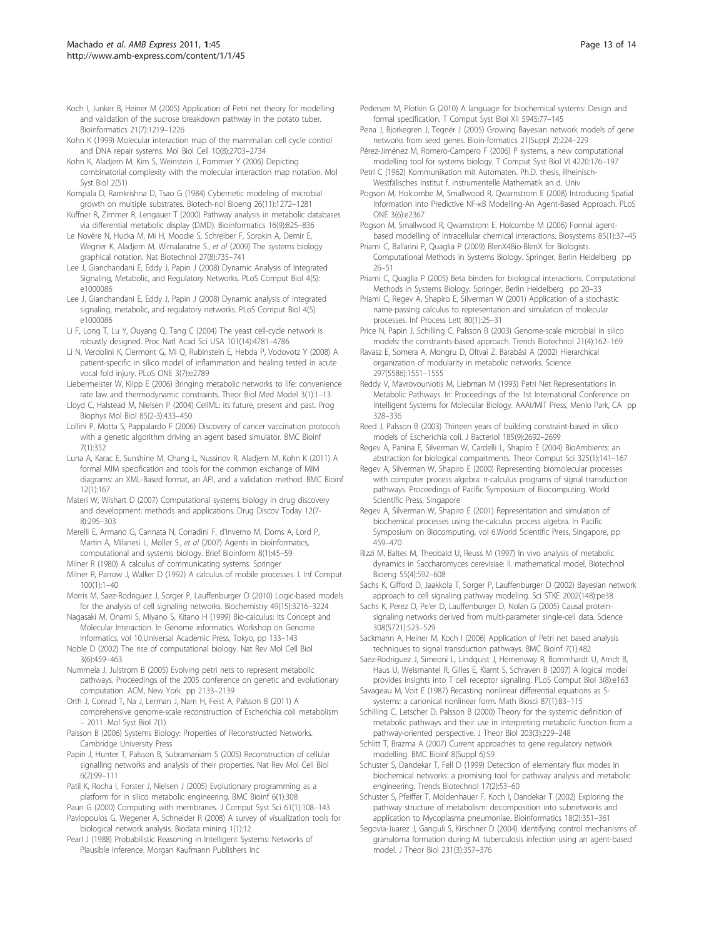- <span id="page-12-0"></span>Koch I, Junker B, Heiner M (2005) Application of Petri net theory for modelling and validation of the sucrose breakdown pathway in the potato tuber. Bioinformatics 21(7):1219–1226
- Kohn K (1999) Molecular interaction map of the mammalian cell cycle control and DNA repair systems. Mol Biol Cell 10(8):2703–2734
- Kohn K, Aladjem M, Kim S, Weinstein J, Pommier Y (2006) Depicting combinatorial complexity with the molecular interaction map notation. Mol Syst Biol 2(51)
- Kompala D, Ramkrishna D, Tsao G (1984) Cybernetic modeling of microbial growth on multiple substrates. Biotech-nol Bioeng 26(11):1272–1281
- Küffner R, Zimmer R, Lengauer T (2000) Pathway analysis in metabolic databases via differential metabolic display (DMD). Bioinformatics 16(9):825–836
- Le Novère N, Hucka M, Mi H, Moodie S, Schreiber F, Sorokin A, Demir E, Wegner K, Aladjem M, Wimalaratne S., et al (2009) The systems biology graphical notation. Nat Biotechnol 27(8):735–741
- Lee J, Gianchandani E, Eddy J, Papin J (2008) Dynamic Analysis of Integrated Signaling, Metabolic, and Regulatory Networks. PLoS Comput Biol 4(5): e1000086
- Lee J, Gianchandani E, Eddy J, Papin J (2008) Dynamic analysis of integrated signaling, metabolic, and regulatory networks. PLoS Comput Biol 4(5): e1000086
- Li F, Long T, Lu Y, Ouyang Q, Tang C (2004) The yeast cell-cycle network is robustly designed. Proc Natl Acad Sci USA 101(14):4781–4786
- Li N, Verdolini K, Clermont G, Mi Q, Rubinstein E, Hebda P, Vodovotz Y (2008) A patient-specific in silico model of inflammation and healing tested in acute vocal fold injury. PLoS ONE 3(7):e2789
- Liebermeister W, Klipp E (2006) Bringing metabolic networks to life: convenience rate law and thermodynamic constraints. Theor Biol Med Model 3(1):1–13
- Lloyd C, Halstead M, Nielsen P (2004) CellML: its future, present and past. Prog Biophys Mol Biol 85(2-3):433–450
- Lollini P, Motta S, Pappalardo F (2006) Discovery of cancer vaccination protocols with a genetic algorithm driving an agent based simulator. BMC Bioinf 7(1):352
- Luna A, Karac E, Sunshine M, Chang L, Nussinov R, Aladjem M, Kohn K (2011) A formal MIM specification and tools for the common exchange of MIM diagrams: an XML-Based format, an API, and a validation method. BMC Bioinf 12(1):167
- Materi W, Wishart D (2007) Computational systems biology in drug discovery and development: methods and applications. Drug Discov Today 12(7- 8):295–303
- Merelli E, Armano G, Cannata N, Corradini F, d'Inverno M, Doms A, Lord P, Martin A, Milanesi L, Moller S., et al (2007) Agents in bioinformatics, computational and systems biology. Brief Bioinform 8(1):45–59

Milner R (1980) A calculus of communicating systems. Springer

Milner R, Parrow J, Walker D (1992) A calculus of mobile processes. I. Inf Comput  $100(1) \cdot 1 - 40$ 

- Morris M, Saez-Rodriguez J, Sorger P, Lauffenburger D (2010) Logic-based models for the analysis of cell signaling networks. Biochemistry 49(15):3216–3224
- Nagasaki M, Onami S, Miyano S, Kitano H (1999) Bio-calculus: Its Concept and Molecular Interaction. In Genome informatics. Workshop on Genome Informatics, vol 10.Universal Academic Press, Tokyo, pp 133–143

Noble D (2002) The rise of computational biology. Nat Rev Mol Cell Biol 3(6):459–463

Nummela J, Julstrom B (2005) Evolving petri nets to represent metabolic pathways. Proceedings of the 2005 conference on genetic and evolutionary computation. ACM, New York pp 2133–2139

- Orth J, Conrad T, Na J, Lerman J, Nam H, Feist A, Palsson B (2011) A comprehensive genome-scale reconstruction of Escherichia coli metabolism – 2011. Mol Syst Biol 7(1)
- Palsson B (2006) Systems Biology: Properties of Reconstructed Networks. Cambridge University Press
- Papin J, Hunter T, Palsson B, Subramaniam S (2005) Reconstruction of cellular signalling networks and analysis of their properties. Nat Rev Mol Cell Biol 6(2):99–111
- Patil K, Rocha I, Forster J, Nielsen J (2005) Evolutionary programming as a platform for in silico metabolic engineering. BMC Bioinf 6(1):308
- Paun G (2000) Computing with membranes. J Comput Syst Sci 61(1):108–143
- Pavlopoulos G, Wegener A, Schneider R (2008) A survey of visualization tools for biological network analysis. Biodata mining 1(1):12
- Pearl J (1988) Probabilistic Reasoning in Intelligent Systems: Networks of Plausible Inference. Morgan Kaufmann Publishers Inc
- Pedersen M, Plotkin G (2010) A language for biochemical systems: Design and formal specification. T Comput Syst Biol XII 5945:77–145
- Pena J, Bjorkegren J, Tegnér J (2005) Growing Bayesian network models of gene networks from seed genes. Bioin-formatics 21(Suppl 2):224–229
- Pérez-Jiménez M, Romero-Campero F (2006) P systems, a new computational modelling tool for systems biology. T Comput Syst Biol VI 4220:176–197
- Petri C (1962) Kommunikation mit Automaten. Ph.D. thesis, Rheinisch-Westfälisches Institut f. instrumentelle Mathematik an d. Univ
- Pogson M, Holcombe M, Smallwood R, Qwarnstrom E (2008) Introducing Spatial Information into Predictive NF-κB Modelling-An Agent-Based Approach. PLoS ONE 3(6):e2367
- Pogson M, Smallwood R, Qwarnstrom E, Holcombe M (2006) Formal agentbased modelling of intracellular chemical interactions. Biosystems 85(1):37–45
- Priami C, Ballarini P, Quaglia P (2009) BlenX4Bio-BlenX for Biologists. Computational Methods in Systems Biology. Springer, Berlin Heidelberg pp
- 26–51 Priami C, Quaglia P (2005) Beta binders for biological interactions. Computational
- Methods in Systems Biology. Springer, Berlin Heidelberg pp 20–33
- Priami C, Regev A, Shapiro E, Silverman W (2001) Application of a stochastic name-passing calculus to representation and simulation of molecular processes. Inf Process Lett 80(1):25–31
- Price N, Papin J, Schilling C, Palsson B (2003) Genome-scale microbial in silico models: the constraints-based approach. Trends Biotechnol 21(4):162–169
- Ravasz E, Somera A, Mongru D, Oltvai Z, Barabási A (2002) Hierarchical organization of modularity in metabolic networks. Science 297(5586):1551–1555
- Reddy V, Mavrovouniotis M, Liebman M (1993) Petri Net Representations in Metabolic Pathways. In: Proceedings of the 1st International Conference on Intelligent Systems for Molecular Biology. AAAI/MIT Press, Menlo Park, CA pp 328–336
- Reed J, Palsson B (2003) Thirteen years of building constraint-based in silico models of Escherichia coli. J Bacteriol 185(9):2692–2699
- Regev A, Panina E, Silverman W, Cardelli L, Shapiro E (2004) BioAmbients: an abstraction for biological compartments. Theor Comput Sci 325(1):141–167
- Regev A, Silverman W, Shapiro E (2000) Representing biomolecular processes with computer process algebra: π-calculus programs of signal transduction pathways. Proceedings of Pacific Symposium of Biocomputing. World Scientific Press, Singapore
- Regev A, Silverman W, Shapiro E (2001) Representation and simulation of biochemical processes using the-calculus process algebra. In Pacific Symposium on Biocomputing, vol 6.World Scientific Press, Singapore, pp 459–470
- Rizzi M, Baltes M, Theobald U, Reuss M (1997) In vivo analysis of metabolic dynamics in Saccharomyces cerevisiae: II. mathematical model. Biotechnol Bioeng 55(4):592–608
- Sachs K, Gifford D, Jaakkola T, Sorger P, Lauffenburger D (2002) Bayesian network approach to cell signaling pathway modeling. Sci STKE 2002(148):pe38
- Sachs K, Perez O, Pe'er D, Lauffenburger D, Nolan G (2005) Causal proteinsignaling networks derived from multi-parameter single-cell data. Science 308(5721):523–529
- Sackmann A, Heiner M, Koch I (2006) Application of Petri net based analysis techniques to signal transduction pathways. BMC Bioinf 7(1):482
- Saez-Rodriguez J, Simeoni L, Lindquist J, Hemenway R, Bommhardt U, Arndt B, Haus U, Weismantel R, Gilles E, Klamt S, Schraven B (2007) A logical model provides insights into T cell receptor signaling. PLoS Comput Biol 3(8):e163
- Savageau M, Voit E (1987) Recasting nonlinear differential equations as Ssystems: a canonical nonlinear form. Math Biosci 87(1):83–115
- Schilling C, Letscher D, Palsson B (2000) Theory for the systemic definition of metabolic pathways and their use in interpreting metabolic function from a pathway-oriented perspective. J Theor Biol 203(3):229–248
- Schlitt T, Brazma A (2007) Current approaches to gene regulatory network modelling. BMC Bioinf 8(Suppl 6):S9
- Schuster S, Dandekar T, Fell D (1999) Detection of elementary flux modes in biochemical networks: a promising tool for pathway analysis and metabolic engineering. Trends Biotechnol 17(2):53–60
- Schuster S, Pfeiffer T, Moldenhauer F, Koch I, Dandekar T (2002) Exploring the pathway structure of metabolism: decomposition into subnetworks and application to Mycoplasma pneumoniae. Bioinformatics 18(2):351–361
- Segovia-Juarez J, Ganguli S, Kirschner D (2004) Identifying control mechanisms of granuloma formation during M. tuberculosis infection using an agent-based model. J Theor Biol 231(3):357–376